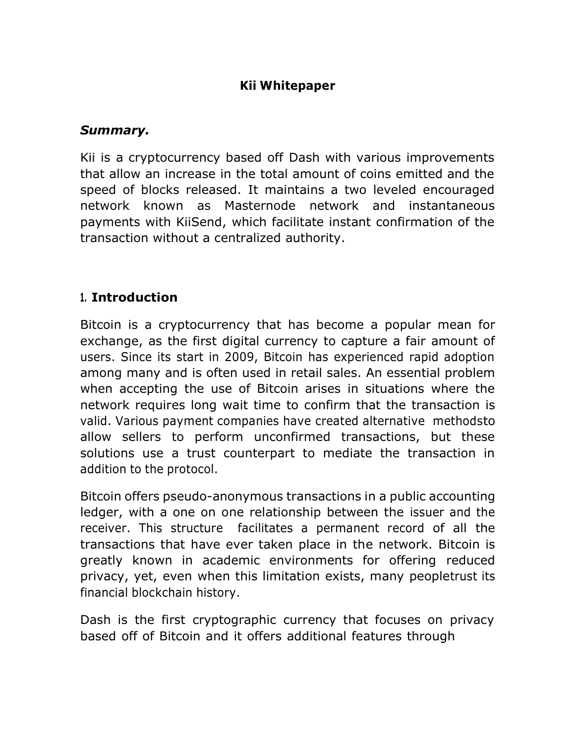#### **Kii Whitepaper**

#### *Summary.*

Kii is a cryptocurrency based off Dash with various improvements that allow an increase in the total amount of coins emitted and the speed of blocks released. It maintains a two leveled encouraged network known as Masternode network and instantaneous payments with KiiSend, which facilitate instant confirmation of the transaction without a centralized authority.

### **1. Introduction**

Bitcoin is a cryptocurrency that has become a popular mean for exchange, as the first digital currency to capture a fair amount of users. Since its start in 2009, Bitcoin has experienced rapid adoption among many and is often used in retail sales. An essential problem when accepting the use of Bitcoin arises in situations where the network requires long wait time to confirm that the transaction is valid. Various payment companies have created alternative methodsto allow sellers to perform unconfirmed transactions, but these solutions use a trust counterpart to mediate the transaction in addition to the protocol.

Bitcoin offers pseudo-anonymous transactions in a public accounting ledger, with a one on one relationship between the issuer and the receiver. This structure facilitates a permanent record of all the transactions that have ever taken place in the network. Bitcoin is greatly known in academic environments for offering reduced privacy, yet, even when this limitation exists, many peopletrust its financial blockchain history.

Dash is the first cryptographic currency that focuses on privacy based off of Bitcoin and it offers additional features through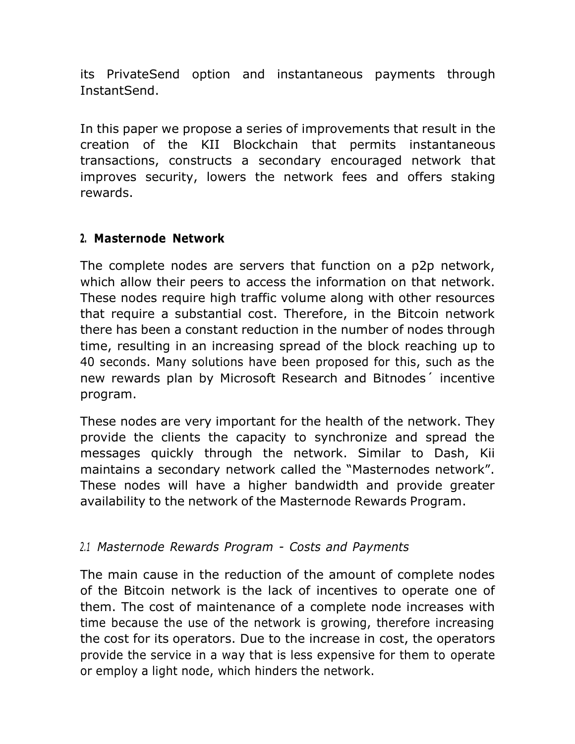its PrivateSend option and instantaneous payments through InstantSend.

In this paper we propose a series of improvements that result in the creation of the KII Blockchain that permits instantaneous transactions, constructs a secondary encouraged network that improves security, lowers the network fees and offers staking rewards.

### **2. Masternode Network**

The complete nodes are servers that function on a p2p network, which allow their peers to access the information on that network. These nodes require high traffic volume along with other resources that require a substantial cost. Therefore, in the Bitcoin network there has been a constant reduction in the number of nodes through time, resulting in an increasing spread of the block reaching up to 40 seconds. Many solutions have been proposed for this, such as the new rewards plan by Microsoft Research and Bitnodes´ incentive program.

These nodes are very important for the health of the network. They provide the clients the capacity to synchronize and spread the messages quickly through the network. Similar to Dash, Kii maintains a secondary network called the "Masternodes network". These nodes will have a higher bandwidth and provide greater availability to the network of the Masternode Rewards Program.

## *2.1 Masternode Rewards Program - Costs and Payments*

The main cause in the reduction of the amount of complete nodes of the Bitcoin network is the lack of incentives to operate one of them. The cost of maintenance of a complete node increases with time because the use of the network is growing, therefore increasing the cost for its operators. Due to the increase in cost, the operators provide the service in a way that is less expensive for them to operate or employ a light node, which hinders the network.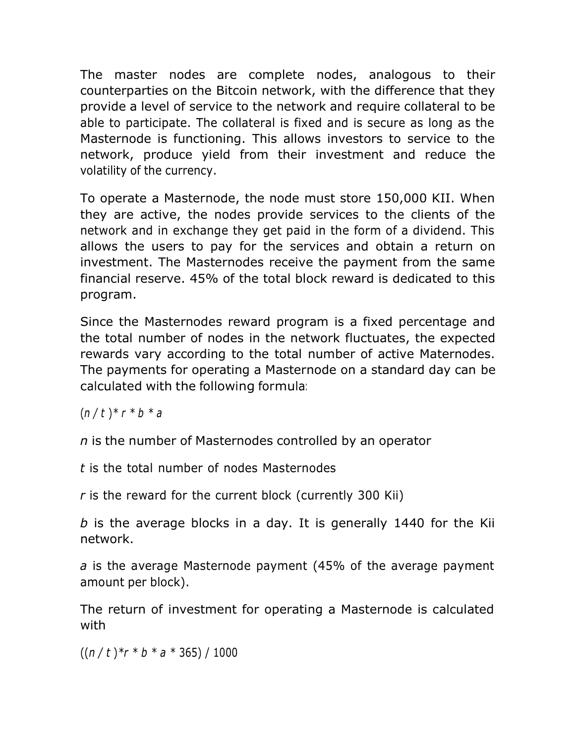The master nodes are complete nodes, analogous to their counterparties on the Bitcoin network, with the difference that they provide a level of service to the network and require collateral to be able to participate. The collateral is fixed and is secure as long as the Masternode is functioning. This allows investors to service to the network, produce yield from their investment and reduce the volatility of the currency.

To operate a Masternode, the node must store 150,000 KII. When they are active, the nodes provide services to the clients of the network and in exchange they get paid in the form of a dividend. This allows the users to pay for the services and obtain a return on investment. The Masternodes receive the payment from the same financial reserve. 45% of the total block reward is dedicated to this program.

Since the Masternodes reward program is a fixed percentage and the total number of nodes in the network fluctuates, the expected rewards vary according to the total number of active Maternodes. The payments for operating a Masternode on a standard day can be calculated with the following formula:

 $(n / t) * r * b * a$ 

*n* is the number of Masternodes controlled by an operator

*t* is the total number of nodes Masternodes

*r* is the reward for the current block (currently 300 Kii)

*b* is the average blocks in a day. It is generally 1440 for the Kii network.

*a* is the average Masternode payment (45% of the average payment amount per block).

The return of investment for operating a Masternode is calculated with

 $((n / t) * r * b * a * 365) / 1000$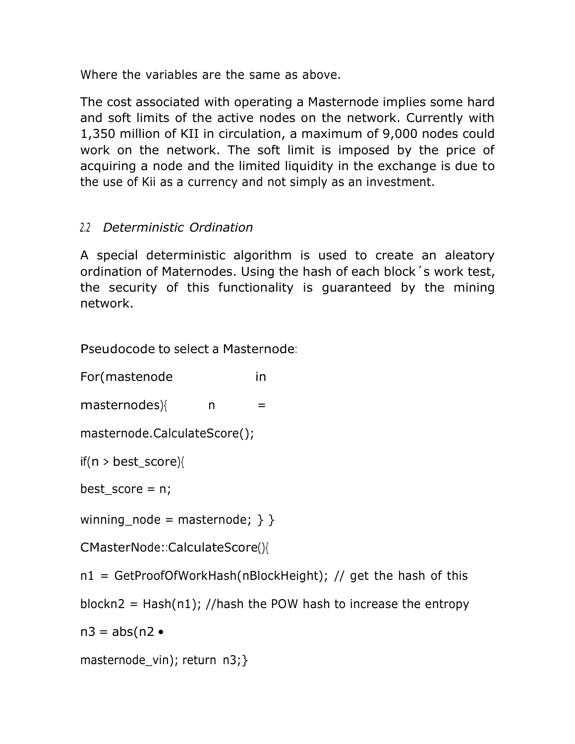Where the variables are the same as above.

The cost associated with operating a Masternode implies some hard and soft limits of the active nodes on the network. Currently with 1,350 million of KII in circulation, a maximum of 9,000 nodes could work on the network. The soft limit is imposed by the price of acquiring a node and the limited liquidity in the exchange is due to the use of Kii as a currency and not simply as an investment.

# *2.2 Deterministic Ordination*

A special deterministic algorithm is used to create an aleatory ordination of Maternodes. Using the hash of each block´s work test, the security of this functionality is guaranteed by the mining network.

Pseudocode to select a Masternode:

For(mastenode in

 $masternodes$ }{ n =

```
masternode.CalculateScore();
```
if( $n >$  best\_score){

best score =  $n$ ;

winning\_node = masternode;  $\}$  }

CMasterNode::CalculateScore(){

n1 = GetProofOfWorkHash(nBlockHeight); // get the hash of this

blockn2 = Hash(n1); //hash the POW hash to increase the entropy

 $n3 = abs(n2 \bullet$ 

```
masternode_vin); return n3;}
```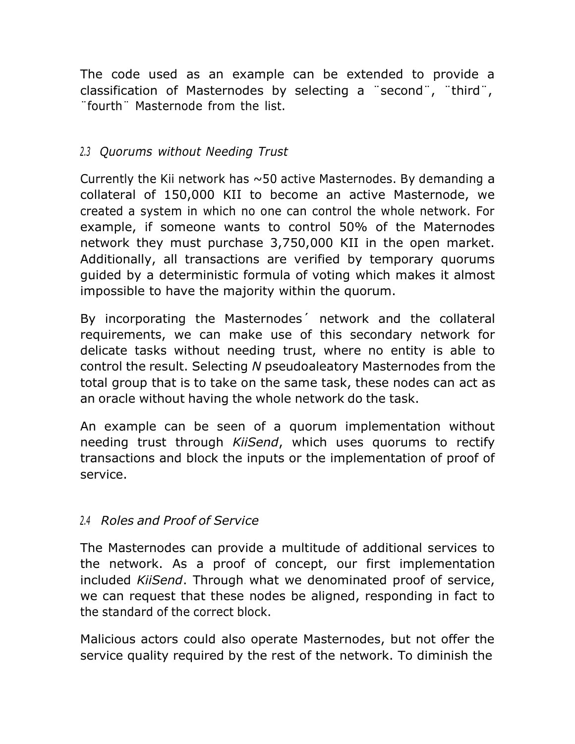The code used as an example can be extended to provide a classification of Masternodes by selecting a ¨second¨, ¨third¨, ¨fourth¨ Masternode from the list.

### *2.3 Quorums without Needing Trust*

Currently the Kii network has  $\sim$ 50 active Masternodes. By demanding a collateral of 150,000 KII to become an active Masternode, we created a system in which no one can control the whole network. For example, if someone wants to control 50% of the Maternodes network they must purchase 3,750,000 KII in the open market. Additionally, all transactions are verified by temporary quorums guided by a deterministic formula of voting which makes it almost impossible to have the majority within the quorum.

By incorporating the Masternodes´ network and the collateral requirements, we can make use of this secondary network for delicate tasks without needing trust, where no entity is able to control the result. Selecting *N* pseudoaleatory Masternodes from the total group that is to take on the same task, these nodes can act as an oracle without having the whole network do the task.

An example can be seen of a quorum implementation without needing trust through *KiiSend*, which uses quorums to rectify transactions and block the inputs or the implementation of proof of service.

### *2.4 Roles and Proof of Service*

The Masternodes can provide a multitude of additional services to the network. As a proof of concept, our first implementation included *KiiSend*. Through what we denominated proof of service, we can request that these nodes be aligned, responding in fact to the standard of the correct block.

Malicious actors could also operate Masternodes, but not offer the service quality required by the rest of the network. To diminish the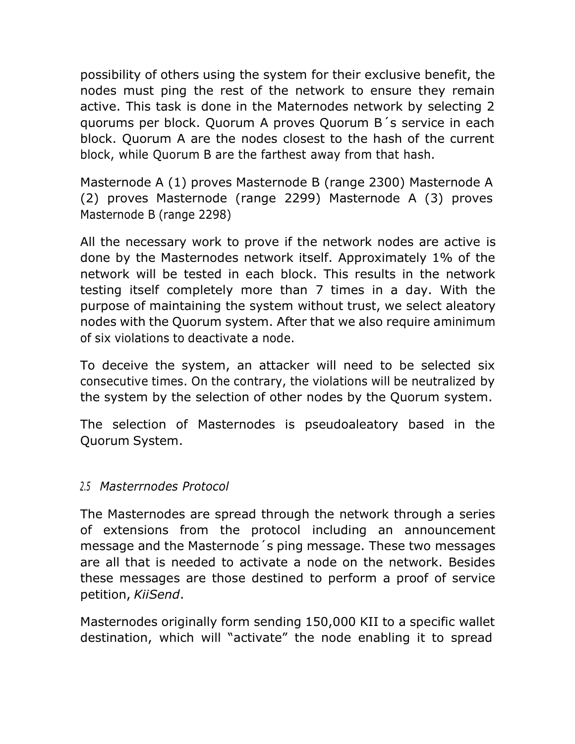possibility of others using the system for their exclusive benefit, the nodes must ping the rest of the network to ensure they remain active. This task is done in the Maternodes network by selecting 2 quorums per block. Quorum A proves Quorum B´s service in each block. Quorum A are the nodes closest to the hash of the current block, while Quorum B are the farthest away from that hash.

Masternode A (1) proves Masternode B (range 2300) Masternode A (2) proves Masternode (range 2299) Masternode A (3) proves Masternode B (range 2298)

All the necessary work to prove if the network nodes are active is done by the Masternodes network itself. Approximately 1% of the network will be tested in each block. This results in the network testing itself completely more than 7 times in a day. With the purpose of maintaining the system without trust, we select aleatory nodes with the Quorum system. After that we also require aminimum of six violations to deactivate a node.

To deceive the system, an attacker will need to be selected six consecutive times. On the contrary, the violations will be neutralized by the system by the selection of other nodes by the Quorum system.

The selection of Masternodes is pseudoaleatory based in the Quorum System.

### *2.5 Masterrnodes Protocol*

The Masternodes are spread through the network through a series of extensions from the protocol including an announcement message and the Masternode´s ping message. These two messages are all that is needed to activate a node on the network. Besides these messages are those destined to perform a proof of service petition, *KiiSend*.

Masternodes originally form sending 150,000 KII to a specific wallet destination, which will "activate" the node enabling it to spread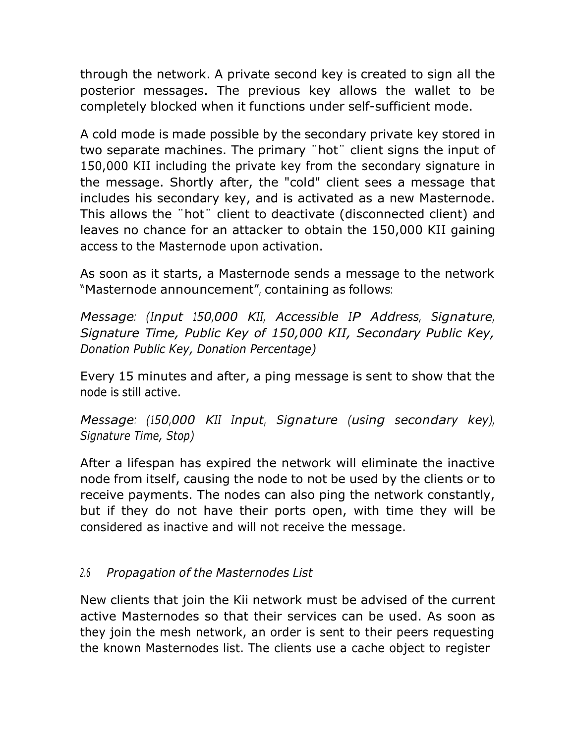through the network. A private second key is created to sign all the posterior messages. The previous key allows the wallet to be completely blocked when it functions under self-sufficient mode.

A cold mode is made possible by the secondary private key stored in two separate machines. The primary ¨hot¨ client signs the input of 150,000 KII including the private key from the secondary signature in the message. Shortly after, the "cold" client sees a message that includes his secondary key, and is activated as a new Masternode. This allows the ¨hot¨ client to deactivate (disconnected client) and leaves no chance for an attacker to obtain the 150,000 KII gaining access to the Masternode upon activation.

As soon as it starts, a Masternode sends a message to the network "Masternode announcement", containing as follows:

*Message: (Input 150,000 KII, Accessible IP Address, Signature, Signature Time, Public Key of 150,000 KII, Secondary Public Key, Donation Public Key, Donation Percentage)*

Every 15 minutes and after, a ping message is sent to show that the node is still active.

*Message: (150,000 KII Input*, *Signature (using secondary key), Signature Time, Stop)*

After a lifespan has expired the network will eliminate the inactive node from itself, causing the node to not be used by the clients or to receive payments. The nodes can also ping the network constantly, but if they do not have their ports open, with time they will be considered as inactive and will not receive the message.

### *2.6 Propagation of the Masternodes List*

New clients that join the Kii network must be advised of the current active Masternodes so that their services can be used. As soon as they join the mesh network, an order is sent to their peers requesting the known Masternodes list. The clients use a cache object to register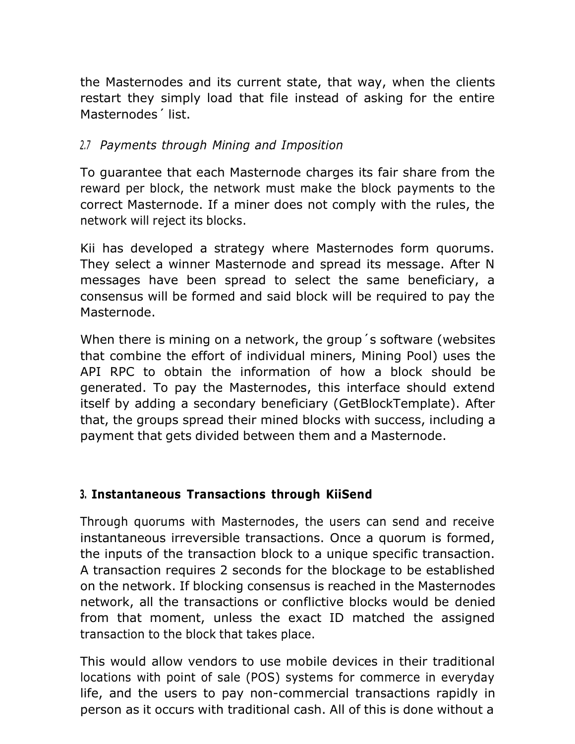the Masternodes and its current state, that way, when the clients restart they simply load that file instead of asking for the entire Masternodes´ list.

### *2.7 Payments through Mining and Imposition*

To guarantee that each Masternode charges its fair share from the reward per block, the network must make the block payments to the correct Masternode. If a miner does not comply with the rules, the network will reject its blocks.

Kii has developed a strategy where Masternodes form quorums. They select a winner Masternode and spread its message. After N messages have been spread to select the same beneficiary, a consensus will be formed and said block will be required to pay the Masternode.

When there is mining on a network, the group´s software (websites that combine the effort of individual miners, Mining Pool) uses the API RPC to obtain the information of how a block should be generated. To pay the Masternodes, this interface should extend itself by adding a secondary beneficiary (GetBlockTemplate). After that, the groups spread their mined blocks with success, including a payment that gets divided between them and a Masternode.

## **3. Instantaneous Transactions through KiiSend**

Through quorums with Masternodes, the users can send and receive instantaneous irreversible transactions. Once a quorum is formed, the inputs of the transaction block to a unique specific transaction. A transaction requires 2 seconds for the blockage to be established on the network. If blocking consensus is reached in the Masternodes network, all the transactions or conflictive blocks would be denied from that moment, unless the exact ID matched the assigned transaction to the block that takes place.

This would allow vendors to use mobile devices in their traditional locations with point of sale (POS) systems for commerce in everyday life, and the users to pay non-commercial transactions rapidly in person as it occurs with traditional cash. All of this is done without a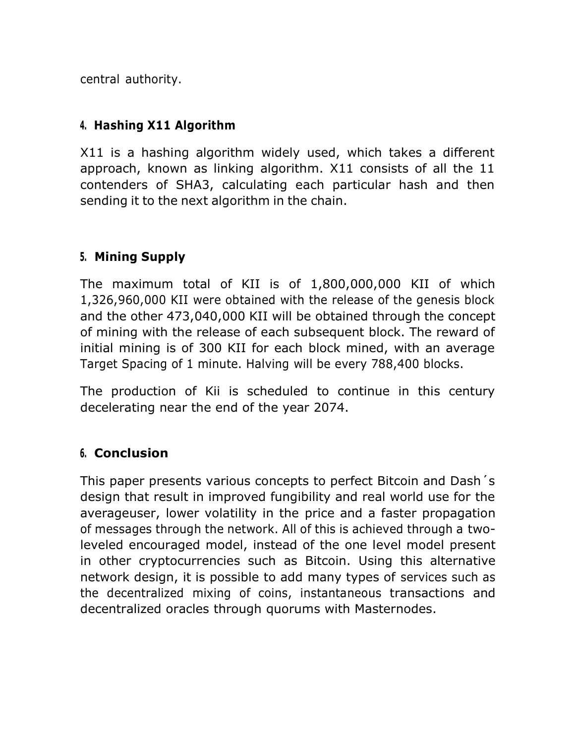central authority.

### **4. Hashing X11 Algorithm**

X11 is a hashing algorithm widely used, which takes a different approach, known as linking algorithm. X11 consists of all the 11 contenders of SHA3, calculating each particular hash and then sending it to the next algorithm in the chain.

### **5. Mining Supply**

The maximum total of KII is of 1,800,000,000 KII of which 1,326,960,000 KII were obtained with the release of the genesis block and the other 473,040,000 KII will be obtained through the concept of mining with the release of each subsequent block. The reward of initial mining is of 300 KII for each block mined, with an average Target Spacing of 1 minute. Halving will be every 788,400 blocks.

The production of Kii is scheduled to continue in this century decelerating near the end of the year 2074.

### **6. Conclusion**

This paper presents various concepts to perfect Bitcoin and Dash´s design that result in improved fungibility and real world use for the averageuser, lower volatility in the price and a faster propagation of messages through the network. All of this is achieved through a twoleveled encouraged model, instead of the one level model present in other cryptocurrencies such as Bitcoin. Using this alternative network design, it is possible to add many types of services such as the decentralized mixing of coins, instantaneous transactions and decentralized oracles through quorums with Masternodes.